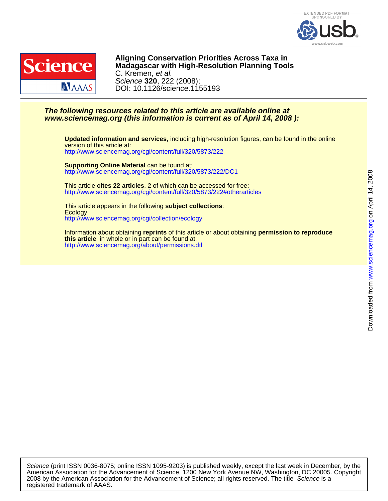



DOI: 10.1126/science.1155193 Science **320**, 222 (2008); C. Kremen, et al. **Madagascar with High-Resolution Planning Tools Aligning Conservation Priorities Across Taxa in**

### **www.sciencemag.org (this information is current as of April 14, 2008 ): The following resources related to this article are available online at**

<http://www.sciencemag.org/cgi/content/full/320/5873/222> version of this article at: **Updated information and services,** including high-resolution figures, can be found in the online

<http://www.sciencemag.org/cgi/content/full/320/5873/222/DC1> **Supporting Online Material** can be found at:

<http://www.sciencemag.org/cgi/content/full/320/5873/222#otherarticles> This article **cites 22 articles**, 2 of which can be accessed for free:

<http://www.sciencemag.org/cgi/collection/ecology> **Ecology** This article appears in the following **subject collections**:

<http://www.sciencemag.org/about/permissions.dtl> **this article** in whole or in part can be found at: Information about obtaining **reprints** of this article or about obtaining **permission to reproduce**

registered trademark of AAAS. 2008 by the American Association for the Advancement of Science; all rights reserved. The title Science is a American Association for the Advancement of Science, 1200 New York Avenue NW, Washington, DC 20005. Copyright Science (print ISSN 0036-8075; online ISSN 1095-9203) is published weekly, except the last week in December, by the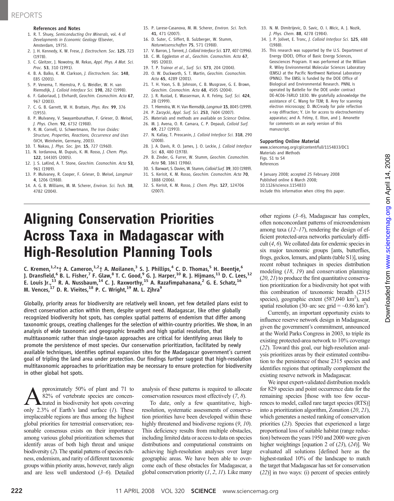## REPORTS

### References and Notes

- 1. R. T. Shuey, Semiconducting Ore Minerals, vol. 4 of Developments in Economic Geology (Elsevier, Amsterdam, 1975).
- 2. J. H. Kennedy, K. W. Frese, J. Electrochem. Soc. 125, 723 (1978).
- 3. C. Gleitzer, J. Nowotny, M. Rekas, Appl. Phys. A Mat. Sci. Proc. 53, 310 (1991).
- 4. B. A. Balko, K. M. Clarkson, J. Electrochem. Soc. 148, E85 (2001).
- 5. P. Venema, T. Hiemstra, P. G. Weidler, W. H. van Riemsdijk, J. Colloid Interface Sci. 198, 282 (1998).
- 6. F. Gaboriaud, J. Ehrhardt, Geochim. Cosmochim. Acta 67, 967 (2003).
- 7. C. G. B. Garrett, W. H. Brattain, Phys. Rev. 99, 376 (1955).
- 8. P. Mulvaney, V. Swayambunathan, F. Grieser, D. Meisel, J. Phys. Chem. 92, 6732 (1988).
- 9. R. M. Cornell, U. Schwertmann, The Iron Oxides: Structure, Properties, Reactions, Occurrence and Uses (VCH, Weinheim, Germany, 2003).
- 10. T. Nakau, J. Phys. Soc. Jpn. 15, 727 (1960).
- 11. N. Iordanova, M. Dupuis, K. M. Rosso, J. Chem. Phys.
- 122, 144305 (2005). 12. J. S. LaKind, A. T. Stone, Geochim. Cosmochim. Acta 53, 961 (1989).
- 13. P. Mulvaney, R. Cooper, F. Grieser, D. Meisel, Langmuir 4, 1206 (1988).
- 14. A. G. B. Williams, M. M. Scherer, Environ. Sci. Tech. 38, 4782 (2004).
- 15. P. Larese-Casanova, M. M. Scherer, Environ. Sci. Tech. 41, 471 (2007).
- 16. D. Suter, C. Siffert, B. Sulzberger, W. Stumm, Naturwissenschaften 75, 571 (1988).
- 17. V. Barron, J. Torrent, J. Colloid Interface Sci. 177, 407 (1996).
- 18. C. M. Eggleston et al., Geochim. Cosmochim. Acta 67, 985 (2003).
- 19. T. P. Trainor et al., Surf. Sci. 573, 204 (2004).
- 20. O. W. Duckworth, S. T. Martin, Geochim. Cosmochim. Acta 65, 4289 (2001).
- 21. T. H. Yoon, S. B. Johnson, C. B. Musgrave, G. E. Brown, Geochim. Cosmochim. Acta 68, 4505 (2004).
- 22. J. R. Rustad, E. Wasserman, A. R. Felmy, Surf. Sci. 424, 28 (1999).
- 23. T. Hiemstra, W. H. Van Riemsdijk, Langmuir 15, 8045 (1999).
- 24. P. Zarzycki, Appl. Surf. Sci. 253, 7604 (2007).
- 25. Materials and methods are available on Science Online. 26. M. J. Avena, O. R. Camara, C. P. Depauli, Colloid Surf. 69, 217 (1993).
- 27. N. Kallay, T. Preocanin, J. Colloid Interface Sci. 318, 290 (2008).
- 28. J. A. Davis, R. O. James, J. O. Leckie, J. Colloid Interface Sci. 63, 480 (1978).
- 29. B. Zinder, G. Furrer, W. Stumm, Geochim. Cosmochim. Acta 50, 1861 (1986).
- 30. S. Banwart, S. Davies, W. Stumm, Colloid Surf. 39, 303 (1989).
- 31. S. Kerisit, K. M. Rosso, Geochim. Cosmochim. Acta 70, 1888 (2006).
- 32. S. Kerisit, K. M. Rosso, J. Chem. Phys. 127, 124706 (2007).
- 33. N. M. Dimitrijevic, D. Savic, O. I. Micic, A. J. Nozik, J. Phys. Chem. 88, 4278 (1984).
- 34. J. P. Jolivet, E. Tronc, J. Colloid Interface Sci. 125, 688 (1988).
- 35. This research was supported by the U.S. Department of Energy (DOE), Office of Basic Energy Sciences, Geosciences Program. It was performed at the William R. Wiley Environmental Molecular Sciences Laboratory (EMSL) at the Pacific Northwest National Laboratory (PNNL). The EMSL is funded by the DOE Office of Biological and Environmental Research. PNNL is operated by Battelle for the DOE under contract DE-AC06-76RLO 1830. We gratefully acknowledge the assistance of C. Wang for TEM; B. Arey for scanning electron microscopy; D. McCready for pole reflection x-ray diffraction; Y. Lin for access to electrochemistry apparatus; and A. Felmy, E. Ilton, and J. Amonette for comments on an early version of this manuscript.

#### Supporting Online Material

www.sciencemag.org/cgi/content/full/1154833/DC1 Materials and Methods Figs. S1 to S4 References

4 January 2008; accepted 25 February 2008 Published online 6 March 2008; 10.1126/science.1154833 Include this information when citing this paper.

## Aligning Conservation Priorities Across Taxa in Madagascar with High-Resolution Planning Tools

C. Kremen, $1,2*$ † A. Cameron, $1,2*$ † A. Moilanen,<sup>3</sup> S. J. Phillips,<sup>4</sup> C. D. Thomas,<sup>5</sup> H. Beentje,<sup>6</sup> J. Dransfield,<sup>6</sup> B. L. Fisher,<sup>7</sup> F. Glaw,<sup>8</sup> T. C. Good,<sup>9</sup> G. J. Harper,<sup>10</sup> R. J. Hijmans,<sup>11</sup> D. C. Lees,<sup>12</sup> E. Louis Jr.,<sup>13</sup> R. A. Nussbaum,<sup>14</sup> C. J. Raxworthy,<sup>15</sup> A. Razafimpahanana,<sup>2</sup> G. E. Schatz,<sup>16</sup> M. Vences,  $^{17}$  D. R. Vieites,  $^{18}$  P. C. Wright,  $^{19}$  M. L. Zjhra $^{9}$ 

Globally, priority areas for biodiversity are relatively well known, yet few detailed plans exist to direct conservation action within them, despite urgent need. Madagascar, like other globally recognized biodiversity hot spots, has complex spatial patterns of endemism that differ among taxonomic groups, creating challenges for the selection of within-country priorities. We show, in an analysis of wide taxonomic and geographic breadth and high spatial resolution, that multitaxonomic rather than single-taxon approaches are critical for identifying areas likely to promote the persistence of most species. Our conservation prioritization, facilitated by newly available techniques, identifies optimal expansion sites for the Madagascar government's current goal of tripling the land area under protection. Our findings further suggest that high-resolution multitaxonomic approaches to prioritization may be necessary to ensure protection for biodiversity in other global hot spots.

pproximately 50% of plant and 71 to 82% of vertebrate species are concentrated in biodiversity hot spots covering only 2.3% of Earth's land surface  $(1)$ . These irreplaceable regions are thus among the highest global priorities for terrestrial conservation; reasonable consensus exists on their importance among various global prioritization schemes that identify areas of both high threat and unique biodiversity (2). The spatial patterns of species richness, endemism, and rarity of different taxonomic groups within priority areas, however, rarely align and are less well understood (3–6). Detailed

analysis of these patterns is required to allocate conservation resources most effectively (7, 8).

To date, only a few quantitative, highresolution, systematic assessments of conservation priorities have been developed within these highly threatened and biodiverse regions  $(9, 10)$ . This deficiency results from multiple obstacles, including limited data or access to data on species distributions and computational constraints on achieving high-resolution analyses over large geographic areas. We have been able to overcome each of these obstacles for Madagascar, a global conservation priority  $(1, 2, 11)$ . Like many

other regions (3–6), Madagascar has complex, often nonconcordant patterns of microendemism among taxa  $(12-17)$ , rendering the design of efficient protected-area networks particularly difficult (4, 6). We collated data for endemic species in six major taxonomic groups [ants, butterflies, frogs, geckos, lemurs, and plants (table S1)], using recent robust techniques in species distribution modeling (18, 19) and conservation planning (20, 21) to produce the first quantitative conservation prioritization for a biodiversity hot spot with this combination of taxonomic breadth (2315 species), geographic extent  $(587,040 \text{ km}^2)$ , and spatial resolution (30–arc sec grid =  $\sim$ 0.86 km<sup>2</sup>).

Currently, an important opportunity exists to influence reserve network design in Madagascar, given the government's commitment, announced at the World Parks Congress in 2003, to triple its existing protected-area network to 10% coverage (22). Toward this goal, our high-resolution analysis prioritizes areas by their estimated contribution to the persistence of these 2315 species and identifies regions that optimally complement the existing reserve network in Madagascar.

We input expert-validated distribution models for 829 species and point occurrence data for the remaining species [those with too few occurrences to model, called rare target species (RTS)] into a prioritization algorithm, Zonation (20, 21), which generates a nested ranking of conservation priorities (23). Species that experienced a large proportional loss of suitable habitat (range reduction) between the years 1950 and 2000 were given higher weightings [equation 2 of (23), (24)]. We evaluated all solutions [defined here as the highest-ranked 10% of the landscape to match the target that Madagascar has set for conservation (22)] in two ways: (i) percent of species entirely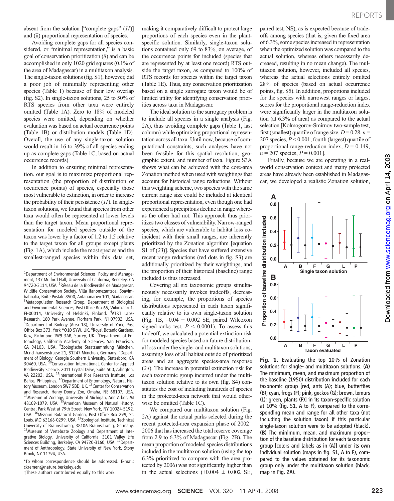absent from the solution ["complete gaps"  $(11)$ ] and (ii) proportional representation of species.

Avoiding complete gaps for all species considered, or "minimal representation," is a basic goal of conservation prioritization (8) and can be accomplished in only 1020 grid squares (0.1% of the area of Madagascar) in a multitaxon analysis. The single-taxon solutions (fig. S1), however, did a poor job of minimally representing other species (Table 1) because of their low overlap (fig. S2). In single-taxon solutions, 25 to 50% of RTS species from other taxa were entirely omitted (Table 1A). Zero to 18% of modeled species were omitted, depending on whether evaluation was based on actual occurrence points (Table 1B) or distribution models (Table 1D). Overall, the use of any single-taxon solution would result in 16 to 39% of all species ending up as complete gaps (Table 1C, based on actual occurrence records).

In addition to ensuring minimal representation, our goal is to maximize proportional representation (the proportion of distribution or occurrence points) of species, especially those most vulnerable to extinction, in order to increase the probability of their persistence  $(11)$ . In singletaxon solutions, we found that species from other taxa would often be represented at lower levels than the target taxon. Mean proportional representation for modeled species outside of the taxon was lower by a factor of 1.2 to 1.5 relative to the target taxon for all groups except plants (Fig. 1A), which include the most species and the smallest-ranged species within this data set,

\*To whom correspondence should be addressed. E-mail: ckremen@nature.berkeley.edu

†These authors contributed equally to this work.

making it comparatively difficult to protect large proportions of each species even in the plantspecific solution. Similarly, single-taxon solutions contained only 69 to 83%, on average, of the occurrence points for included (species that are represented by at least one record) RTS outside the target taxon, as compared to 100% of RTS records for species within the target taxon (Table 1E). Thus, any conservation prioritization based on a single surrogate taxon would be of limited utility for identifying conservation priorities across taxa in Madagascar.

The ideal solution to the surrogacy problem is to include all species in a single analysis (Fig. 2A), thus avoiding complete gaps (Table 1, last column) while optimizing proportional representation across all taxa. Until now, because of computational constraints, such analyses have not been feasible for this spatial resolution, geographic extent, and number of taxa. Figure S3A shows what can be achieved with the core-area Zonation method when used with weightings that account for historical range reductions. Without this weighting scheme, two species with the same current range size could be included at identical proportional representation, even though one had experienced a precipitous decline in range whereas the other had not. This approach thus prioritizes two classes of vulnerability. Narrow-ranged species, which are vulnerable to habitat loss coincident with their small ranges, are inherently prioritized by the Zonation algorithm [equation S1 of  $(23)$ ]. Species that have suffered extensive recent range reductions (red dots in fig. S3) are additionally prioritized by their weightings, and the proportion of their historical (baseline) range included is thus increased.

Covering all six taxonomic groups simultaneously necessarily invokes tradeoffs, decreasing, for example, the proportions of species distributions represented in each taxon significantly relative to its own single-taxon solution (Fig. 1B,  $-0.04 \pm 0.002$  SE, paired Wilcoxon signed-ranks test,  $P < 0.0001$ ). To assess this tradeoff, we calculated a potential extinction risk for modeled species based on future distributional loss under the single- and multitaxon solutions, assuming loss of all habitat outside of prioritized areas and an aggregate species-area response (24). The increase in potential extinction risk for each taxonomic group incurred under the multitaxon solution relative to its own (fig. S4) constitutes the cost of including hundreds of species in the protected-area network that would otherwise be omitted (Table 1C).

We compared our multitaxon solution (Fig. 2A) against the actual parks selected during the recent protected-area expansion phase of 2002– 2006 that has increased the total reserve coverage from 2.9 to 6.3% of Madagascar (Fig. 2B). The mean proportion of modeled species distributions included in the multitaxon solution (using the top 6.3% prioritized to compare with the area protected by 2006) was not significantly higher than in the actual selections  $(+0.004 \pm 0.002 \text{ SE}$ ,

paired test, NS), as is expected because of tradeoffs among species (that is, given the fixed area of 6.3%, some species increased in representation when the optimized solution was compared to the actual solution, whereas others necessarily decreased, resulting in no mean change). The multitaxon solution, however, included all species, whereas the actual selections entirely omitted 28% of species (based on actual occurrence points, fig. S5). In addition, proportions included for the species with narrowest ranges or largest scores for the proportional range-reduction index were significantly larger in the multitaxon solution (at 6.3% of area) as compared to the actual selection [Kolmogorov-Smirnov two-sample test, first (smallest) quartile of range size,  $D = 0.28$ ,  $n =$ 207 species,  $P < 0.001$ ; fourth (largest) quartile of proportional range-reduction index,  $D = 0.149$ ,  $n = 207$  species,  $P = 0.001$ ].

Finally, because we are operating in a realworld conservation context and many protected areas have already been established in Madagascar, we developed a realistic Zonation solution,



Fig. 1. Evaluating the top 10% of Zonation solutions for single- and multitaxon solutions. (A) The minimum, mean, and maximum proportion of the baseline (1950) distribution included for each taxonomic group [red, ants (A); blue, butterflies (B); cyan, frogs (F); pink, geckos (G); brown, lemurs (L); green, plants (P)] in its taxon-specific solution at 10% (fig. S1, A to F), compared to the corresponding mean and range for all other taxa (not including the solution taxon) if this particular single-taxon solution were to be adopted (black). (B) The minimum, mean, and maximum proportion of the baseline distribution for each taxonomic group [colors and labels as in (A)] under its own individual solution (maps in fig. S1, A to F), compared to the values obtained for its taxonomic group only under the multitaxon solution (black, map in Fig. 2A).

<sup>&</sup>lt;sup>1</sup>Department of Environmental Sciences, Policy and Management, 137 Mulford Hall, University of California, Berkeley, CA 94720-3114, USA. <sup>2</sup> Réseau de la Biodiversité de Madagascar, Wildlife Conservation Society, Villa Ifanomezantsoa, Soavimbahoaka, Boîte Postale 8500, Antananarivo 101, Madagascar. <sup>3</sup>Metapopulation Research Group, Department of Biological and Environmental Sciences, Post Office Box 65, Viikinkaari 1, FI-00014, University of Helsinki, Finland. <sup>4</sup>AT&T Labs-Research, 180 Park Avenue, Florham Park, NJ 07932, USA. 5 Department of Biology (Area 18), University of York, Post Office Box 373, York YO10 5YW, UK. <sup>6</sup>Royal Botanic Gardens, Kew, Richmond TW9 3AB, Surrey, UK. <sup>7</sup>Department of Entomology, California Academy of Sciences, San Francisco, CA 94103, USA. <sup>8</sup>Zoologische Staatssammlung München, Münchhausenstrasse 21, 81247 München, Germany. <sup>9</sup>Department of Biology, Georgia Southern University, Statesboro, GA<br>30460, USA. <sup>10</sup>Conservation International, Center for Applied Biodiversity Science, 2011 Crystal Drive, Suite 500, Arlington, VA 22202, USA. <sup>11</sup>International Rice Research Institute, Los Baños, Philippines. <sup>12</sup>Department of Entomology, Natural History Museum, London SW7 5BD, UK.<sup>13</sup>Center for Conservation and Research, Henry Doorly Zoo, Omaha, NE 68107, USA. 14 Museum of Zoology, University of Michigan, Ann Arbor, MI 48109-1079, USA. <sup>15</sup>American Museum of Natural History, Central Park West at 79th Street, New York, NY 10024-5192, USA. 16Missouri Botanical Garden, Post Office Box 299, St. Louis, MO 63166-0299, USA. <sup>17</sup>Zoological Institute, Technical University of Braunschweig, 38106 Braunschweig, Germany. 18 Museum of Vertebrate Zoology and Department of Integrative Biology, University of California, 3101 Valley Life Sciences Building, Berkeley, CA 94720-3160, USA. <sup>19</sup>Department of Anthropology, State University of New York, Stony Brook, NY 11794, USA.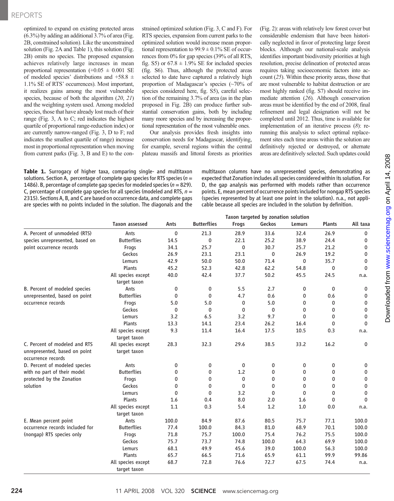## REPORTS

optimized to expand on existing protected areas (6.3%) by adding an additional 3.7% of area (Fig. 2B, constrained solution). Like the unconstrained solution (Fig. 2A and Table 1), this solution (Fig. 2B) omits no species. The proposed expansion achieves relatively large increases in mean proportional representation  $(+0.05 \pm 0.001$  SE of modeled species' distributions and  $+58.8 \pm$ 1.1% SE of RTS' occurrences). Most important, it realizes gains among the most vulnerable species, because of both the algorithm  $(20, 21)$ and the weighting system used. Among modeled species, those that have already lost much of their range (Fig. 3, A to C; red indicates the highest quartile of proportional range-reduction index) or are currently narrow-ranged (Fig. 3, D to F; red indicates the smallest quartile of range) increase most in proportional representation when moving from current parks (Fig. 3, B and E) to the constrained optimized solution (Fig. 3, C and F). For RTS species, expansion from current parks to the optimized solution would increase mean proportional representation to  $99.9 \pm 0.1\%$  SE of occurrences from 0% for gap species (39% of all RTS, fig. S5) or  $67.8 \pm 1.9\%$  SE for included species (fig. S6). Thus, although the protected areas selected to date have captured a relatively high proportion of Madagascar's species (~70% of species considered here, fig. S5), careful selection of the remaining 3.7% of area (as in the plan proposed in Fig. 2B) can produce further substantial conservation gains, both by including many more species and by increasing the proportional representation of the most vulnerable ones.

Our analysis provides fresh insights into conservation needs for Madagascar, identifying, for example, several regions within the central plateau massifs and littoral forests as priorities

Table 1. Surrogacy of higher taxa, comparing single- and multitaxon solutions. Section A, percentage of complete gap species for RTS species ( $n =$ 1486). B, percentage of complete gap species for modeled species ( $n = 829$ ). C, percentage of complete gap species for all species (modeled and RTS,  $n =$ 2315). Sections A, B, and C are based on occurrence data, and complete gaps are species with no points included in the solution. The diagonals and the

(Fig. 2): areas with relatively low forest cover but considerable endemism that have been historically neglected in favor of protecting large forest blocks. Although our national-scale analysis identifies important biodiversity priorities at high resolution, precise delineation of protected areas requires taking socioeconomic factors into account (25). Within these priority areas, those that are most vulnerable to habitat destruction or are most highly ranked (fig. S7) should receive immediate attention (26). Although conservation areas must be identified by the end of 2008, final refinement and legal designation will not be completed until 2012. Thus, time is available for implementation of an iterative process (8): rerunning this analysis to select optimal replacement sites each time areas within the solution are definitively rejected or destroyed, or alternate areas are definitively selected. Such updates could

multitaxon columns have no unrepresented species, demonstrating as expected that Zonation includes all species considered within its solution. For D, the gap analysis was performed with models rather than occurrence points. E, mean percent of occurrence points included for nongap RTS species (species represented by at least one point in the solution). n.a., not applicable because all species are included in the solution by definition.

|                                                                                      | Taxon targeted by zonation solution |              |                    |              |              |               |               |              |
|--------------------------------------------------------------------------------------|-------------------------------------|--------------|--------------------|--------------|--------------|---------------|---------------|--------------|
|                                                                                      | <b>Taxon assessed</b>               | Ants         | <b>Butterflies</b> | <b>Frogs</b> | Geckos       | <b>Lemurs</b> | <b>Plants</b> | All taxa     |
| A. Percent of unmodeled (RTS)                                                        | Ants                                | 0            | 21.3               | 28.9         | 33.6         | 32.4          | 26.9          | $\mathbf 0$  |
| species unrepresented, based on                                                      | <b>Butterflies</b>                  | 14.5         | 0                  | 22.1         | 25.2         | 38.9          | 24.4          | 0            |
| point occurrence records                                                             | Frogs                               | 34.1         | 25.7               | $\mathbf{0}$ | 30.7         | 25.7          | 21.2          | 0            |
|                                                                                      | Geckos                              | 26.9         | 23.1               | 23.1         | $\mathbf 0$  | 26.9          | 19.2          | 0            |
|                                                                                      | Lemurs                              | 42.9         | 50.0               | 50.0         | 71.4         | $\mathbf 0$   | 35.7          | 0            |
|                                                                                      | Plants                              | 45.2         | 52.3               | 42.8         | 62.2         | 54.8          | 0             | $\mathbf 0$  |
|                                                                                      | All species except<br>target taxon  | 40.0         | 42.4               | 37.7         | 50.2         | 45.5          | 24.5          | n.a.         |
| B. Percent of modeled species                                                        | Ants                                | 0            | $\mathbf 0$        | 5.5          | 2.7          | 0             | 0             | 0            |
| unrepresented, based on point                                                        | <b>Butterflies</b>                  | 0            | $\mathbf 0$        | 4.7          | 0.6          | 0             | 0.6           | 0            |
| occurrence records                                                                   | Frogs                               | 5.0          | 5.0                | 0            | 5.0          | 0             | 0             | 0            |
|                                                                                      | Geckos                              | $\mathbf{0}$ | $\mathbf{0}$       | $\mathbf{0}$ | $\mathbf{0}$ | $\mathbf{0}$  | 0             | 0            |
|                                                                                      | Lemurs                              | 3.2          | 6.5                | 3.2          | 9.7          | $\mathbf{0}$  | $\Omega$      | $\mathbf 0$  |
|                                                                                      | Plants                              | 13.3         | 14.1               | 23.4         | 26.2         | 16.4          | $\mathbf{0}$  | $\mathbf 0$  |
|                                                                                      | All species except<br>target taxon  | 9.3          | 11.4               | 16.4         | 17.5         | 10.5          | 0.3           | n.a.         |
| C. Percent of modeled and RTS<br>unrepresented, based on point<br>occurrence records | All species except<br>target taxon  | 28.3         | 32.3               | 29.6         | 38.5         | 33.2          | 16.2          | 0            |
| D. Percent of modeled species                                                        | Ants                                | 0            | 0                  | 0            | 0            | 0             | 0             | 0            |
| with no part of their model                                                          | <b>Butterflies</b>                  | 0            | 0                  | 1.2          | 0            | 0             | 0             | $\mathbf 0$  |
| protected by the Zonation                                                            | Frogs                               | 0            | 0                  | 0            | 0            | 0             | 0             | 0            |
| solution                                                                             | Geckos                              | $\mathbf{0}$ | 0                  | 0            | 0            | 0             | $\mathbf{0}$  | 0            |
|                                                                                      | Lemurs                              | $\mathbf{0}$ | $\mathbf{0}$       | 3.2          | 0            | $\mathbf{0}$  | $\mathbf{0}$  | 0            |
|                                                                                      | Plants                              | 1.6          | 0.4                | 8.0          | 2.0          | 1.6           | $\mathbf{0}$  | $\mathbf{0}$ |
|                                                                                      | All species except<br>target taxon  | 1.1          | 0.3                | 5.4          | 1.2          | 1.0           | 0.0           | n.a.         |
| E. Mean percent point                                                                | Ants                                | 100.0        | 84.9               | 87.6         | 80.5         | 75.7          | 77.1          | 100.0        |
| occurrence records included for                                                      | <b>Butterflies</b>                  | 77.4         | 100.0              | 84.3         | 81.0         | 68.9          | 70.1          | 100.0        |
| (nongap) RTS species only                                                            | Frogs                               | 71.8         | 75.7               | 100.0        | 75.4         | 76.2          | 75.5          | 100.0        |
|                                                                                      | Geckos                              | 75.7         | 73.7               | 74.8         | 100.0        | 64.3          | 69.9          | 100.0        |
|                                                                                      | Lemurs                              | 68.1         | 49.9               | 45.6         | 39.0         | 100.0         | 56.3          | 100.0        |
|                                                                                      | Plants                              | 65.7         | 66.5               | 71.6         | 65.9         | 61.1          | 99.9          | 99.86        |
|                                                                                      | All species except<br>target taxon  | 68.7         | 72.8               | 76.6         | 72.7         | 67.5          | 74.4          | n.a.         |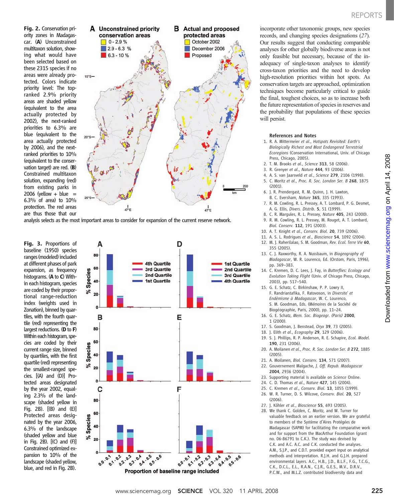www.sciencemag.orgon April 14, 2008

Downloaded from www.sciencemag.org on April 14, 2008

Downloaded from

Fig. 2. Conservation priority zones in Madagascar. (A) Unconstrained multitaxon solution, showing what would have been selected based on these 2315 species if no areas were already protected. Colors indicate priority level: The topranked 2.9% priority areas are shaded yellow (equivalent to the area actually protected by 2002), the next-ranked priorities to 6.3% are blue (equivalent to the area actually protected by 2006), and the nextranked priorities to 10% (equivalent to the conservation target) are red. (B) Constrained multitaxon solution, expanding (red) from existing parks in 2006 (yellow  $+$  blue  $=$ 6.3% of area) to 10% protection. The red areas are thus those that our



analysis selects as the most important areas to consider for expansion of the current reserve network.

Fig. 3. Proportions of baseline (1950) species ranges (modeled) included at different phases of park expansion, as frequency histograms. (A to C) Within each histogram, species are coded by their proportional range-reduction index (weights used in Zonation), binned by quartiles, with the fourth quartile (red) representing the largest reductions. (D to F) Within each histogram, species are coded by their current range size, binned by quartiles, with the first quartile (red) representing the smallest-ranged species. [(A) and (D)] Protected areas designated by the year 2002, equaling 2.3% of the landscape (shaded yellow in Fig. 2B). [(B) and (E)] Protected areas designated by the year 2006, 6.3% of the landscape (shaded yellow and blue in Fig. 2B). [(C) and (F)] Constrained optimized expansion to 10% of the landscape (shaded yellow, blue, and red in Fig. 2B).



incorporate other taxonomic groups, new species records, and changing species designations (27). Our results suggest that conducting comparable analyses for other globally biodiverse areas is not only feasible but necessary, because of the inadequacy of single-taxon analyses to identify cross-taxon priorities and the need to develop high-resolution priorities within hot spots. As conservation targets are approached, optimization techniques become particularly critical to guide the final, toughest choices, so as to increase both the future representation of species in reserves and the probability that populations of these species will persist.

#### References and Notes

- 1. R. A. Mittermeier et al., Hotspots Revisited: Earth's Biologically Richest and Most Endangered Terrestrial Ecoregions (Conservation International, Univ. of Chicago Press, Chicago, 2005).
- 2. T. M. Brooks et al., Science 313, 58 (2006).
- 3. R. Grenyer et al., Nature 444, 93 (2006).
- 4. A. S. van Jaarsveld et al., Science 279, 2106 (1998). 5. C. Moritz et al., Proc. R. Soc. London Ser. B 268, 1875 (2001).
- 6. J. R. Prendergast, R. M. Quinn, J. H. Lawton,
- B. C. Eversham, Nature 365, 335 (1993). 7. R. M. Cowling, R. L. Pressey, A. T. Lombard, P. G. Desmet,
- A. G. Ellis, Divers. Distrib. 5, 51 (1999).
- 8. C. R. Margules, R. L. Pressey, Nature 405, 243 (2000). 9. R. M. Cowling, R. L. Pressey, M. Rouget, A. T. Lombard, Biol. Conserv. 112, 191 (2003).
- 10. A. T. Knight et al., Conserv. Biol. 20, 739 (2006).
- 11. A. S. L. Rodrigues et al., Bioscience 54, 1092 (2004).
- 12. M. J. Raherilalao, S. M. Goodman, Rev. Ecol. Terre Vie 60, 355 (2005).
- 13. C. J. Raxworthy, R. A. Nussbaum, in Biogeography of Madagascar, W. R. Lourenco, Ed. (Orstom, Paris, 1996), pp. 369–383.
- 14. C. Kremen, D. C. Lees, J. Fay, in Butterflies: Ecology and Evolution Taking Flight (Univ. of Chicago Press, Chicago, 2003), pp. 517–540.
- 15. G. E. Schatz, C. Birkinshaw, P. P. Lowry II, F. Randriantafika, F. Ratovoson, in Diversité et Endèmisme à Madagascar, W. C. Lourenco, S. M. Goodman, Eds. (Mémoires de la Société de Biogéographie, Paris, 2000), pp. 11–24.
- 16. G. E. Schatz, Mem. Soc. Biogeogr. (Paris) 2000, 1 (2000).
- 17. S. Goodman, J. Benstead, Oryx 39, 73 (2005).
- 18. J. Elith et al., Ecography 29, 129 (2006).
- 19. S. J. Phillips, R. P. Anderson, R. E. Schapire, Ecol. Model. 190, 231 (2006).
- 20. A. Moilanen et al., Proc. R. Soc. London Ser. B 272, 1885 (2005).
- 21. A. Moilanen, Biol. Conserv. 134, 571 (2007).
- 22. Gouvernement Malgache, J. Off. Repub. Madagascar 2004, 2936 (2004).
- 23. Supporting material is available on Science Online.
- 24. C. D. Thomas et al., Nature 427, 145 (2004).
- 25. C. Kremen et al., Conserv. Biol. 13, 1055 (1999).
- 26. W. R. Turner, D. S. Wilcove, Conserv. Biol. 20, 527 (2006).
- 27. J. Köhler et al., Bioscience 55, 693 (2005).
- 28. We thank C. Golden, C. Moritz, and W. Turner for valuable feedback on an earlier version. We are grateful to members of the Système d'Aires Protégées de Madagascar (SAPM) for facilitating the comparative work and for support from the MacArthur Foundation (grant no. 06-86791 to C.K.). The study was devised by C.K. and A.C. A.C. and C.K. conducted the analyses. A.M., S.J.P., and C.D.T. provided expert input on analytical methods and interpretation. R.J.H. and G.J.H. prepared environmental layers. A.C., H.B., J.D., B.L.F., F.G., T.C.G., C.K., D.C.L., E.L., R.A.N., C.J.R., G.E.S., M.V., D.R.V., P.C.W., and M.L.Z. contributed biodiversity data and